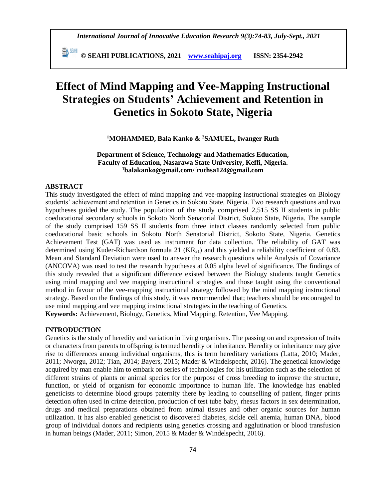**© SEAHI PUBLICATIONS, 2021 [www.seahipaj.org](http://www.seahipaj.org/) ISSN: 2354-2942**

# **Effect of Mind Mapping and Vee-Mapping Instructional Strategies on Students' Achievement and Retention in Genetics in Sokoto State, Nigeria**

# **<sup>1</sup>MOHAMMED, Bala Kanko & <sup>2</sup>SAMUEL, Iwanger Ruth**

# **Department of Science, Technology and Mathematics Education, Faculty of Education, Nasarawa State University, Keffi, Nigeria. <sup>1</sup>[balakanko@gmail.com/](mailto:1balakanko@gmail.com)** 2 **[ruthsa124@gmail.com](mailto:ruthsa124@gmail.com)**

# **ABSTRACT**

This study investigated the effect of mind mapping and vee-mapping instructional strategies on Biology students' achievement and retention in Genetics in Sokoto State, Nigeria. Two research questions and two hypotheses guided the study. The population of the study comprised 2,515 SS II students in public coeducational secondary schools in Sokoto North Senatorial District, Sokoto State, Nigeria. The sample of the study comprised 159 SS II students from three intact classes randomly selected from public coeducational basic schools in Sokoto North Senatorial District, Sokoto State, Nigeria. Genetics Achievement Test (GAT) was used as instrument for data collection. The reliability of GAT was determined using Kuder-Richardson formula 21  $(KR_{21})$  and this yielded a reliability coefficient of 0.83. Mean and Standard Deviation were used to answer the research questions while Analysis of Covariance (ANCOVA) was used to test the research hypotheses at 0.05 alpha level of significance. The findings of this study revealed that a significant difference existed between the Biology students taught Genetics using mind mapping and vee mapping instructional strategies and those taught using the conventional method in favour of the vee-mapping instructional strategy followed by the mind mapping instructional strategy. Based on the findings of this study, it was recommended that; teachers should be encouraged to use mind mapping and vee mapping instructional strategies in the teaching of Genetics. **Keywords:** Achievement, Biology, Genetics, Mind Mapping, Retention, Vee Mapping.

## **INTRODUCTION**

Genetics is the study of heredity and variation in living organisms. The passing on and expression of traits or characters from parents to offspring is termed heredity or inheritance. Heredity or inheritance may give rise to differences among individual organisms, this is term hereditary variations (Latta, 2010; Mader, 2011; Nworgu, 2012; Tian, 2014; Bayers, 2015; Mader & Windelspecht, 2016). The genetical knowledge acquired by man enable him to embark on series of technologies for his utilization such as the selection of different strains of plants or animal species for the purpose of cross breeding to improve the structure, function, or yield of organism for economic importance to human life. The knowledge has enabled geneticists to determine blood groups paternity there by leading to counselling of patient, finger prints detection often used in crime detection, production of test tube baby, rhesus factors in sex determination, drugs and medical preparations obtained from animal tissues and other organic sources for human utilization. It has also enabled geneticist to discovered diabetes, sickle cell anemia, human DNA, blood group of individual donors and recipients using genetics crossing and agglutination or blood transfusion in human beings (Mader, 2011; Simon, 2015 & Mader & Windelspecht, 2016).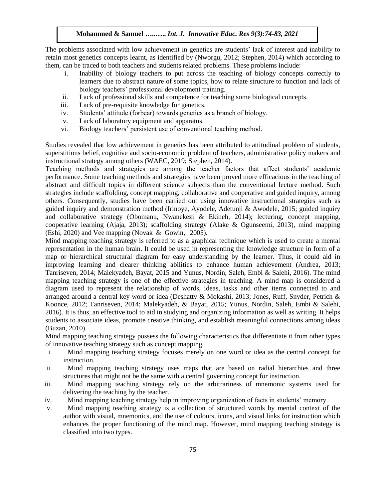The problems associated with low achievement in genetics are students' lack of interest and inability to retain most genetics concepts learnt, as identified by (Nworgu, 2012; Stephen, 2014) which according to them, can be traced to both teachers and students related problems. These problems include:

- i. Inability of biology teachers to put across the teaching of biology concepts correctly to learners due to abstract nature of some topics, how to relate structure to function and lack of biology teachers' professional development training.
- ii. Lack of professional skills and competence for teaching some biological concepts.
- iii. Lack of pre-requisite knowledge for genetics.
- iv. Students' attitude (forbear) towards genetics as a branch of biology.
- v. Lack of laboratory equipment and apparatus.
- vi. Biology teachers' persistent use of conventional teaching method.

Studies revealed that low achievement in genetics has been attributed to attitudinal problem of students, superstitions belief, cognitive and socio-economic problem of teachers, administrative policy makers and instructional strategy among others (WAEC, 2019; Stephen, 2014).

Teaching methods and strategies are among the teacher factors that affect students' academic performance. Some teaching methods and strategies have been proved more efficacious in the teaching of abstract and difficult topics in different science subjects than the conventional lecture method. Such strategies include scaffolding, concept mapping, collaborative and cooperative and guided inquiry, among others. Consequently, studies have been carried out using innovative instructional strategies such as guided inquiry and demonstration method (Irinoye, Ayodele, Adetunji & Awodele, 2015; guided inquiry and collaborative strategy (Obomanu, Nwanekezi & Ekineh, 2014); lecturing, concept mapping, cooperative learning (Ajaja, 2013); scaffolding strategy (Alake & Ogunseemi, 2013), mind mapping (Eshi, 2020) and Vee mapping (Novak & Gowin, 2005).

Mind mapping teaching strategy is referred to as a graphical technique which is used to create a mental representation in the human brain. It could be used in representing the knowledge structure in form of a map or hierarchical structural diagram for easy understanding by the learner. Thus, it could aid in improving learning and clearer thinking abilities to enhance human achievement (Andrea, 2013; Tanriseven, 2014; Malekyadeh, Bayat, 2015 and Yunus, Nordin, Saleh, Embi & Salehi, 2016). The mind mapping teaching strategy is one of the effective strategies in teaching. A mind map is considered a diagram used to represent the relationship of words, ideas, tasks and other items connected to and arranged around a central key word or idea (Deshatty & Mokashi, 2013; Jones, Ruff, Snyder, Petrich & Koonce, 2012; Tanriseven, 2014; Malekyadeh, & Bayat, 2015; Yunus, Nordin, Saleh, Embi & Salehi, 2016). It is thus, an effective tool to aid in studying and organizing information as well as writing. It helps students to associate ideas, promote creative thinking, and establish meaningful connections among ideas (Buzan, 2010).

Mind mapping teaching strategy possess the following characteristics that differentiate it from other types of innovative teaching strategy such as concept mapping.

- i. Mind mapping teaching strategy focuses merely on one word or idea as the central concept for instruction.
- ii. Mind mapping teaching strategy uses maps that are based on radial hierarchies and three structures that might not be the same with a central governing concept for instruction.
- iii. Mind mapping teaching strategy rely on the arbitrariness of mnemonic systems used for delivering the teaching by the teacher.
- iv. Mind mapping teaching strategy help in improving organization of facts in students' memory.
- v. Mind mapping teaching strategy is a collection of structured words by mental context of the author with visual, mnemonics, and the use of colours, icons, and visual links for instruction which enhances the proper functioning of the mind map. However, mind mapping teaching strategy is classified into two types.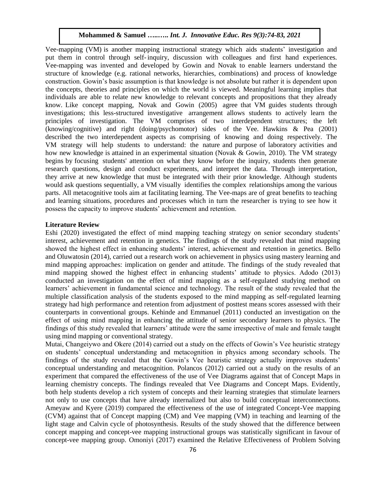Vee-mapping (VM) is another mapping instructional strategy which aids students' investigation and put them in control through self-inquiry, discussion with colleagues and first hand experiences. Vee-mapping was invented and developed by Gowin and Novak to enable learners understand the structure of knowledge (e.g. rational networks, hierarchies, combinations) and process of knowledge construction. Gowin's basic assumption is that knowledge is not absolute but rather it is dependent upon the concepts, theories and principles on which the world is viewed. Meaningful learning implies that individuals are able to relate new knowledge to relevant concepts and propositions that they already know. Like concept mapping, Novak and Gowin (2005) agree that VM guides students through investigations; this less-structured investigative arrangement allows students to actively learn the principles of investigation. The VM comprises of two interdependent structures; the left (knowing/cognitive) and right (doing/psychomotor) sides of the Vee. Hawkins & Pea (2001) described the two interdependent aspects as comprising of knowing and doing respectively. The VM strategy will help students to understand: the nature and purpose of laboratory activities and how new knowledge is attained in an experimental situation (Novak & Gowin, 2010). The VM strategy begins by focusing students' attention on what they know before the inquiry, students then generate research questions, design and conduct experiments, and interpret the data. Through interpretation, they arrive at new knowledge that must be integrated with their prior knowledge. Although students would ask questions sequentially, a VM visually identifies the complex relationships among the various parts. All metacognitive tools aim at facilitating learning. The Vee-maps are of great benefits to teaching and learning situations, procedures and processes which in turn the researcher is trying to see how it possess the capacity to improve students' achievement and retention.

# **Literature Review**

Eshi (2020) investigated the effect of mind mapping teaching strategy on senior secondary students' interest, achievement and retention in genetics. The findings of the study revealed that mind mapping showed the highest effect in enhancing students' interest, achievement and retention in genetics. Bello and Oluwatosin (2014), carried out a research work on achievement in physics using mastery learning and mind mapping approaches: implication on gender and attitude. The findings of the study revealed that mind mapping showed the highest effect in enhancing students' attitude to physics. Adodo (2013) conducted an investigation on the effect of mind mapping as a self-regulated studying method on learners' achievement in fundamental science and technology. The result of the study revealed that the multiple classification analysis of the students exposed to the mind mapping as self-regulated learning strategy had high performance and retention from adjustment of posttest means scores assessed with their counterparts in conventional groups. Kehinde and Emmanuel (2011) conducted an investigation on the effect of using mind mapping in enhancing the attitude of senior secondary learners to physics. The findings of this study revealed that learners' attitude were the same irrespective of male and female taught using mind mapping or conventional strategy.

Mutai, Changeiywo and Okere (2014) carried out a study on the effects of Gowin's Vee heuristic strategy on students' conceptual understanding and metacognition in physics among secondary schools. The findings of the study revealed that the Gowin's Vee heuristic strategy actually improves students' conceptual understanding and metacognition. Polancos (2012) carried out a study on the results of an experiment that compared the effectiveness of the use of Vee Diagrams against that of Concept Maps in learning chemistry concepts. The findings revealed that Vee Diagrams and Concept Maps. Evidently, both help students develop a rich system of concepts and their learning strategies that stimulate learners not only to use concepts that have already internalized but also to build conceptual interconnections. Ameyaw and Kyere (2019) compared the effectiveness of the use of integrated Concept-Vee mapping (CVM) against that of Concept mapping (CM) and Vee mapping (VM) in teaching and learning of the light stage and Calvin cycle of photosynthesis. Results of the study showed that the difference between concept mapping and concept-vee mapping instructional groups was statistically significant in favour of concept-vee mapping group. Omoniyi (2017) examined the Relative Effectiveness of Problem Solving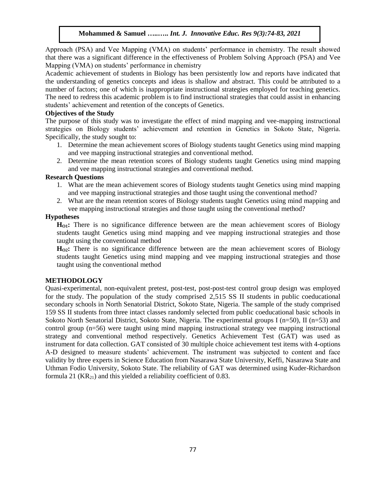Approach (PSA) and Vee Mapping (VMA) on students' performance in chemistry. The result showed that there was a significant difference in the effectiveness of Problem Solving Approach (PSA) and Vee Mapping (VMA) on students' performance in chemistry

Academic achievement of students in Biology has been persistently low and reports have indicated that the understanding of genetics concepts and ideas is shallow and abstract. This could be attributed to a number of factors; one of which is inappropriate instructional strategies employed for teaching genetics. The need to redress this academic problem is to find instructional strategies that could assist in enhancing students' achievement and retention of the concepts of Genetics.

## **Objectives of the Study**

The purpose of this study was to investigate the effect of mind mapping and vee-mapping instructional strategies on Biology students' achievement and retention in Genetics in Sokoto State, Nigeria. Specifically, the study sought to:

- 1. Determine the mean achievement scores of Biology students taught Genetics using mind mapping and vee mapping instructional strategies and conventional method.
- 2. Determine the mean retention scores of Biology students taught Genetics using mind mapping and vee mapping instructional strategies and conventional method.

# **Research Questions**

- 1. What are the mean achievement scores of Biology students taught Genetics using mind mapping and vee mapping instructional strategies and those taught using the conventional method?
- 2. What are the mean retention scores of Biology students taught Genetics using mind mapping and vee mapping instructional strategies and those taught using the conventional method?

## **Hypotheses**

**HO1:** There is no significance difference between are the mean achievement scores of Biology students taught Genetics using mind mapping and vee mapping instructional strategies and those taught using the conventional method

**HO2:** There is no significance difference between are the mean achievement scores of Biology students taught Genetics using mind mapping and vee mapping instructional strategies and those taught using the conventional method

# **METHODOLOGY**

Quasi-experimental, non-equivalent pretest, post-test, post-post-test control group design was employed for the study. The population of the study comprised 2,515 SS II students in public coeducational secondary schools in North Senatorial District, Sokoto State, Nigeria. The sample of the study comprised 159 SS II students from three intact classes randomly selected from public coeducational basic schools in Sokoto North Senatorial District, Sokoto State, Nigeria. The experimental groups I (n=50), II (n=53) and control group (n=56) were taught using mind mapping instructional strategy vee mapping instructional strategy and conventional method respectively. Genetics Achievement Test (GAT) was used as instrument for data collection. GAT consisted of 30 multiple choice achievement test items with 4-options A-D designed to measure students' achievement. The instrument was subjected to content and face validity by three experts in Science Education from Nasarawa State University, Keffi, Nasarawa State and Uthman Fodio University, Sokoto State. The reliability of GAT was determined using Kuder-Richardson formula 21  $(KR_{21})$  and this yielded a reliability coefficient of 0.83.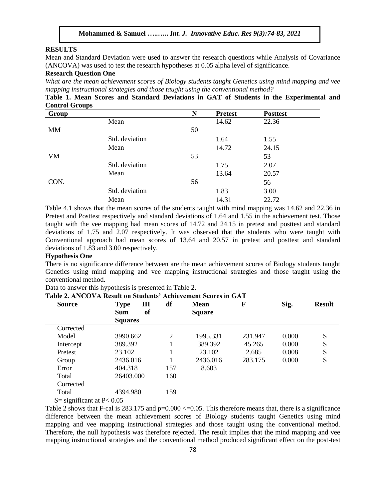#### **RESULTS**

Mean and Standard Deviation were used to answer the research questions while Analysis of Covariance (ANCOVA) was used to test the research hypotheses at 0.05 alpha level of significance.

## **Research Question One**

*What are the mean achievement scores of Biology students taught Genetics using mind mapping and vee mapping instructional strategies and those taught using the conventional method?*

**Table 1. Mean Scores and Standard Deviations in GAT of Students in the Experimental and Control Groups**

| Group     |                | N  | <b>Pretest</b> | <b>Posttest</b> |  |
|-----------|----------------|----|----------------|-----------------|--|
|           | Mean           |    | 14.62          | 22.36           |  |
| MM        |                | 50 |                |                 |  |
|           | Std. deviation |    | 1.64           | 1.55            |  |
|           | Mean           |    | 14.72          | 24.15           |  |
| <b>VM</b> |                | 53 |                | 53              |  |
|           | Std. deviation |    | 1.75           | 2.07            |  |
|           | Mean           |    | 13.64          | 20.57           |  |
| CON.      |                | 56 |                | 56              |  |
|           | Std. deviation |    | 1.83           | 3.00            |  |
|           | Mean           |    | 14.31          | 22.72           |  |

Table 4.1 shows that the mean scores of the students taught with mind mapping was 14.62 and 22.36 in Pretest and Posttest respectively and standard deviations of 1.64 and 1.55 in the achievement test. Those taught with the vee mapping had mean scores of 14.72 and 24.15 in pretest and posttest and standard deviations of 1.75 and 2.07 respectively. It was observed that the students who were taught with Conventional approach had mean scores of 13.64 and 20.57 in pretest and posttest and standard deviations of 1.83 and 3.00 respectively.

### **Hypothesis One**

There is no significance difference between are the mean achievement scores of Biology students taught Genetics using mind mapping and vee mapping instructional strategies and those taught using the conventional method.

|               | Table 2. ANCOVA Result on Students' Achievement Scores in GAT |     |               |         |       |               |
|---------------|---------------------------------------------------------------|-----|---------------|---------|-------|---------------|
| <b>Source</b> | Ш<br><b>Type</b>                                              | df  | Mean          | F       | Sig.  | <b>Result</b> |
|               | <sub>of</sub><br><b>Sum</b>                                   |     | <b>Square</b> |         |       |               |
|               | <b>Squares</b>                                                |     |               |         |       |               |
| Corrected     |                                                               |     |               |         |       |               |
| Model         | 3990.662                                                      | 2   | 1995.331      | 231.947 | 0.000 | S             |
| Intercept     | 389.392                                                       |     | 389.392       | 45.265  | 0.000 | S             |
| Pretest       | 23.102                                                        |     | 23.102        | 2.685   | 0.008 | S             |
| Group         | 2436.016                                                      |     | 2436.016      | 283.175 | 0.000 | S             |
| Error         | 404.318                                                       | 157 | 8.603         |         |       |               |
| Total         | 26403.000                                                     | 160 |               |         |       |               |
| Corrected     |                                                               |     |               |         |       |               |
| Total         | 4394.980                                                      | 159 |               |         |       |               |

Data to answer this hypothesis is presented in Table 2.

 $S=$  significant at P $< 0.05$ 

Table 2 shows that F-cal is  $283.175$  and  $p=0.000 \le 0.05$ . This therefore means that, there is a significance difference between the mean achievement scores of Biology students taught Genetics using mind mapping and vee mapping instructional strategies and those taught using the conventional method. Therefore, the null hypothesis was therefore rejected. The result implies that the mind mapping and vee mapping instructional strategies and the conventional method produced significant effect on the post-test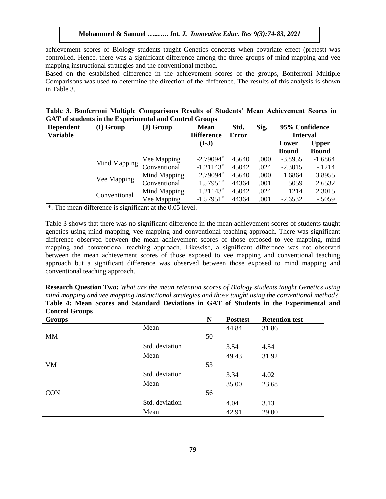achievement scores of Biology students taught Genetics concepts when covariate effect (pretest) was controlled. Hence, there was a significant difference among the three groups of mind mapping and vee mapping instructional strategies and the conventional method.

Based on the established difference in the achievement scores of the groups, Bonferroni Multiple Comparisons was used to determine the direction of the difference. The results of this analysis is shown in Table 3.

|  |  | Table 3. Bonferroni Multiple Comparisons Results of Students' Mean Achievement Scores in |  |  |  |  |
|--|--|------------------------------------------------------------------------------------------|--|--|--|--|
|  |  | <b>GAT of students in the Experimental and Control Groups</b>                            |  |  |  |  |

| <b>Dependent</b> | (I) Group    | $J)$ Group   | <b>Mean</b>             | Std.   | Sig. | 95% Confidence |                 |  |
|------------------|--------------|--------------|-------------------------|--------|------|----------------|-----------------|--|
| <b>Variable</b>  |              |              | <b>Difference</b>       | Error  |      |                | <b>Interval</b> |  |
|                  |              |              | $(I-J)$                 |        |      | Lower          | <b>Upper</b>    |  |
|                  |              |              |                         |        |      | <b>Bound</b>   | <b>Bound</b>    |  |
|                  | Mind Mapping | Vee Mapping  | $-2.79094*$             | .45640 | .000 | $-3.8955$      | $-1.6864$       |  |
|                  |              | Conventional | $-1.21143$ <sup>*</sup> | .45042 | .024 | $-2.3015$      | $-1214$         |  |
|                  |              | Mind Mapping | 2.79094*                | .45640 | .000 | 1.6864         | 3.8955          |  |
|                  | Vee Mapping  | Conventional | $1.57951*$              | .44364 | .001 | .5059          | 2.6532          |  |
|                  |              | Mind Mapping | $1.21143*$              | .45042 | .024 | .1214          | 2.3015          |  |
| Conventional     |              | Vee Mapping  | $-1.57951$ <sup>*</sup> | .44364 | .001 | $-2.6532$      | $-.5059$        |  |

\*. The mean difference is significant at the 0.05 level.

Table 3 shows that there was no significant difference in the mean achievement scores of students taught genetics using mind mapping, vee mapping and conventional teaching approach. There was significant difference observed between the mean achievement scores of those exposed to vee mapping, mind mapping and conventional teaching approach. Likewise, a significant difference was not observed between the mean achievement scores of those exposed to vee mapping and conventional teaching approach but a significant difference was observed between those exposed to mind mapping and conventional teaching approach.

**Research Question Two:** *What are the mean retention scores of Biology students taught Genetics using mind mapping and vee mapping instructional strategies and those taught using the conventional method?* **Table 4: Mean Scores and Standard Deviations in GAT of Students in the Experimental and Control Groups**

| <b>Groups</b> |                | N  | <b>Posttest</b> | <b>Retention test</b> |
|---------------|----------------|----|-----------------|-----------------------|
|               | Mean           |    | 44.84           | 31.86                 |
| <b>MM</b>     |                | 50 |                 |                       |
|               | Std. deviation |    | 3.54            | 4.54                  |
|               | Mean           |    | 49.43           | 31.92                 |
| <b>VM</b>     |                | 53 |                 |                       |
|               | Std. deviation |    | 3.34            | 4.02                  |
|               | Mean           |    | 35.00           | 23.68                 |
| <b>CON</b>    |                | 56 |                 |                       |
|               | Std. deviation |    | 4.04            | 3.13                  |
|               | Mean           |    | 42.91           | 29.00                 |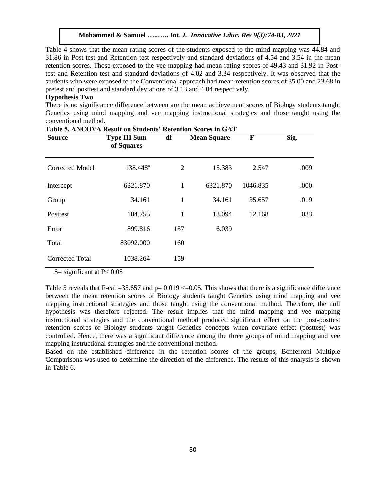Table 4 shows that the mean rating scores of the students exposed to the mind mapping was 44.84 and 31.86 in Post-test and Retention test respectively and standard deviations of 4.54 and 3.54 in the mean retention scores. Those exposed to the vee mapping had mean rating scores of 49.43 and 31.92 in Posttest and Retention test and standard deviations of 4.02 and 3.34 respectively. It was observed that the students who were exposed to the Conventional approach had mean retention scores of 35.00 and 23.68 in pretest and posttest and standard deviations of 3.13 and 4.04 respectively.

# **Hypothesis Two**

There is no significance difference between are the mean achievement scores of Biology students taught Genetics using mind mapping and vee mapping instructional strategies and those taught using the conventional method.

| <b>Source</b>          | rabic of the collection on beauches<br><b>Type III Sum</b><br>of Squares | TTCCCHICLOIL<br>df | <b>Mean Square</b> | F        | Sig. |
|------------------------|--------------------------------------------------------------------------|--------------------|--------------------|----------|------|
| <b>Corrected Model</b> | 138.448 <sup>a</sup>                                                     | 2                  | 15.383             | 2.547    | .009 |
| Intercept              | 6321.870                                                                 | 1                  | 6321.870           | 1046.835 | .000 |
| Group                  | 34.161                                                                   | 1                  | 34.161             | 35.657   | .019 |
| Posttest               | 104.755                                                                  | 1                  | 13.094             | 12.168   | .033 |
| Error                  | 899.816                                                                  | 157                | 6.039              |          |      |
| Total                  | 83092.000                                                                | 160                |                    |          |      |
| <b>Corrected Total</b> | 1038.264                                                                 | 159                |                    |          |      |

# **Table 5. ANCOVA Result on Students' Retention Scores in GAT**

 $S =$  significant at  $P < 0.05$ 

Table 5 reveals that F-cal  $=35.657$  and  $p=0.019 \le 0.05$ . This shows that there is a significance difference between the mean retention scores of Biology students taught Genetics using mind mapping and vee mapping instructional strategies and those taught using the conventional method. Therefore, the null hypothesis was therefore rejected. The result implies that the mind mapping and vee mapping instructional strategies and the conventional method produced significant effect on the post-posttest retention scores of Biology students taught Genetics concepts when covariate effect (posttest) was controlled. Hence, there was a significant difference among the three groups of mind mapping and vee mapping instructional strategies and the conventional method.

Based on the established difference in the retention scores of the groups, Bonferroni Multiple Comparisons was used to determine the direction of the difference. The results of this analysis is shown in Table 6.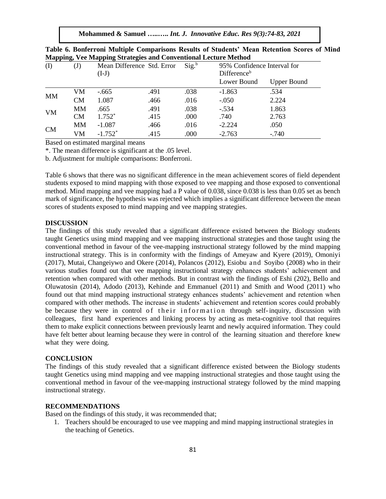|           |                |                       | Triapping, vee mapping surategies and Conventional Lecture Method |          |                             |                    |
|-----------|----------------|-----------------------|-------------------------------------------------------------------|----------|-----------------------------|--------------------|
| $\rm (I)$ | $\mathrm{(J)}$ |                       | Mean Difference Std. Error                                        | $Sig.^b$ | 95% Confidence Interval for |                    |
|           |                | $(I-J)$               |                                                                   |          | Difference <sup>b</sup>     |                    |
|           |                |                       |                                                                   |          | Lower Bound                 | <b>Upper Bound</b> |
|           | VM             | $-.665$               | .491                                                              | .038     | $-1.863$                    | .534               |
| МM        | <b>CM</b>      | 1.087                 | .466                                                              | .016     | $-.050$                     | 2.224              |
| <b>VM</b> | MМ             | .665                  | .491                                                              | .038     | $-.534$                     | 1.863              |
|           | <b>CM</b>      | $1.752*$              | .415                                                              | .000     | .740                        | 2.763              |
|           | MМ             | $-1.087$              | .466                                                              | .016     | $-2.224$                    | .050               |
| CM        | VM             | $-1.752$ <sup>*</sup> | .415                                                              | .000     | $-2.763$                    | $-.740$            |

| Table 6. Bonferroni Multiple Comparisons Results of Students' Mean Retention Scores of Mind |  |  |  |  |
|---------------------------------------------------------------------------------------------|--|--|--|--|
| <b>Mapping, Vee Mapping Strategies and Conventional Lecture Method</b>                      |  |  |  |  |

Based on estimated marginal means

\*. The mean difference is significant at the .05 level.

b. Adjustment for multiple comparisons: Bonferroni.

Table 6 shows that there was no significant difference in the mean achievement scores of field dependent students exposed to mind mapping with those exposed to vee mapping and those exposed to conventional method. Mind mapping and vee mapping had a P value of 0.038, since 0.038 is less than 0.05 set as bench mark of significance, the hypothesis was rejected which implies a significant difference between the mean scores of students exposed to mind mapping and vee mapping strategies.

#### **DISCUSSION**

The findings of this study revealed that a significant difference existed between the Biology students taught Genetics using mind mapping and vee mapping instructional strategies and those taught using the conventional method in favour of the vee-mapping instructional strategy followed by the mind mapping instructional strategy. This is in conformity with the findings of Ameyaw and Kyere (2019), Omoniyi (2017), Mutai, Changeiywo and Okere (2014), Polancos (2012), Esiobu and Soyibo (2008) who in their various studies found out that vee mapping instructional strategy enhances students' achievement and retention when compared with other methods. But in contrast with the findings of Eshi (202), Bello and Oluwatosin (2014), Adodo (2013), Kehinde and Emmanuel (2011) and Smith and Wood (2011) who found out that mind mapping instructional strategy enhances students' achievement and retention when compared with other methods. The increase in students' achievement and retention scores could probably be because they were in control of their information through self-inquiry, discussion with colleagues, first hand experiences and linking process by acting as meta-cognitive tool that requires them to make explicit connections between previously learnt and newly acquired information. They could have felt better about learning because they were in control of the learning situation and therefore knew what they were doing.

## **CONCLUSION**

The findings of this study revealed that a significant difference existed between the Biology students taught Genetics using mind mapping and vee mapping instructional strategies and those taught using the conventional method in favour of the vee-mapping instructional strategy followed by the mind mapping instructional strategy.

# **RECOMMENDATIONS**

Based on the findings of this study, it was recommended that;

1. Teachers should be encouraged to use vee mapping and mind mapping instructional strategies in the teaching of Genetics.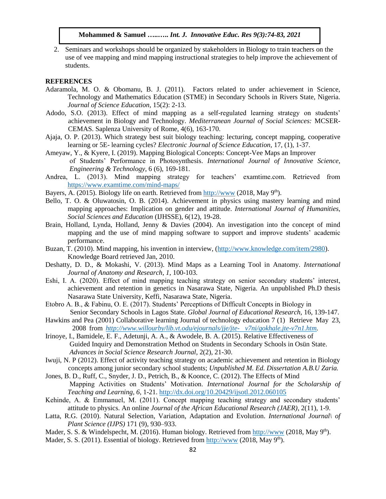2. Seminars and workshops should be organized by stakeholders in Biology to train teachers on the use of vee mapping and mind mapping instructional strategies to help improve the achievement of students.

## **REFERENCES**

- Adaramola, M. O. & Obomanu, B. J. (2011). Factors related to under achievement in Science, Technology and Mathematics Education (STME) in Secondary Schools in Rivers State, Nigeria. *Journal of Science Education*, 15(2): 2-13.
- Adodo, S.O. (2013). Effect of mind mapping as a self-regulated learning strategy on students' achievement in Biology and Technology. *Mediterranean Journal of Social Sciences:* MCSER-CEMAS. Saplenza University of Rome, 4(6), 163-170.
- Ajaja, O. P. (2013). Which strategy best suit biology teaching: lecturing, concept mapping, cooperative learning or 5E- learning cycles? *Electronic Journal of Science Education,* 17, (1), 1-37.
- Ameyaw, Y., & Kyere, I. (2019). Mapping Biological Concepts: Concept-Vee Maps an Improver of Students' Performance in Photosynthesis. *International Journal of Innovative Science, Engineering & Technology*, 6 (6), 169-181.
- Andrea, L. (2013). Mind mapping strategy for teachers' examtime.com. Retrieved from <https://www.examtime.com/mind-maps/>
- Bayers, A. (2015). Biology life on earth. Retrieved from [http://www](http://www/). (2018, May 9<sup>th</sup>).
- Bello, T. O. & Oluwatosin, O. B. (2014). Achievement in physics using mastery learning and mind mapping approaches: Implication on gender and attitude. *International Journal of Humanities, Social Sciences and Education* (IJHSSE), 6(12), 19-28.
- Brain, Holland, Lynda, Holland, Jenny & Davies (2004). An investigation into the concept of mind mapping and the use of mind mapping software to support and improve students' academic performance.
- Buzan, T. (2010). Mind mapping, his invention in interview, [\(http://www.knowledge.com/item/2980\)](http://www.knowledge.com/item/2980). Knowledge Board retrieved Jan, 2010.
- Deshatty, D. D., & Mokashi, V. (2013). Mind Maps as a Learning Tool in Anatomy. *International Journal of Anatomy and Research*, *1*, 100-103.
- Eshi, I. A. (2020). Effect of mind mapping teaching strategy on senior secondary students' interest, achievement and retention in genetics in Nasarawa State, Nigeria. An unpublished Ph.D thesis Nasarawa State University, Keffi, Nasarawa State, Nigeria.
- Etobro A. B., & Fabinu, O. E. (2017). Students' Perceptions of Difficult Concepts in Biology in Senior Secondary Schools in Lagos State. *Global Journal of Educational Research,* 16, 139-147.
- Hawkins and Pea (2001) Collaborative learning Journal of technology education 7 (1) Retrieve May 23, 2008 from *[http://www.willourby/lib.vt.odu/ejournals/jje/jte-](http://www.willourby/lib.vt.odu/ejournals/jje/jte-%20v7ni/gokhale.jte-v7n1.htm) v7ni/gokhale.jte-v7n1.htm.*
- Irinoye, I., Bamidele, E. F., Adetunji, A. A., & Awodele, B. A. (2015). Relative Effectiveness of Guided Inquiry and Demonstration Method on Students in Secondary Schools in Osün State. *Advances in Social Science Research Journal*, 2(2), 21-30.

Iwuji, N. P (2012). Effect of activity teaching strategy on academic achievement and retention in Biology concepts among junior secondary school students; *Unpublished M. Ed. Dissertation A.B.U Zaria.*

- Jones, B. D., Ruff, C., Snyder, J. D., Petrich, B., & Koonce, C. (2012). The Effects of Mind Mapping Activities on Students' Motivation. *International Journal for the Scholarship of Teaching and Learning, 6,* 1-21.<http://dx.doi.org/10.20429/ijsotl.2012.060105>
- Kehinde, A. & Emmanuel, M. (2011). Concept mapping teaching strategy and secondary students' attitude to physics. An online *Journal of the African Educational Research (JAER)*, 2(11), 1-9.
- Latta, R.G. (2010). Natural Selection, Variation, Adaptation and Evolution. *International Journal\ of Plant Science (IJPS)* 171 (9), 930–933.
- Mader, S. S. & Windelspecht, M. (2016). Human biology. Retrieved fro[m http://www](http://www/). (2018, May 9<sup>th</sup>).
- Mader, S. S. (2011). Essential of biology. Retrieved from [http://www](http://www/). (2018, May 9<sup>th</sup>).